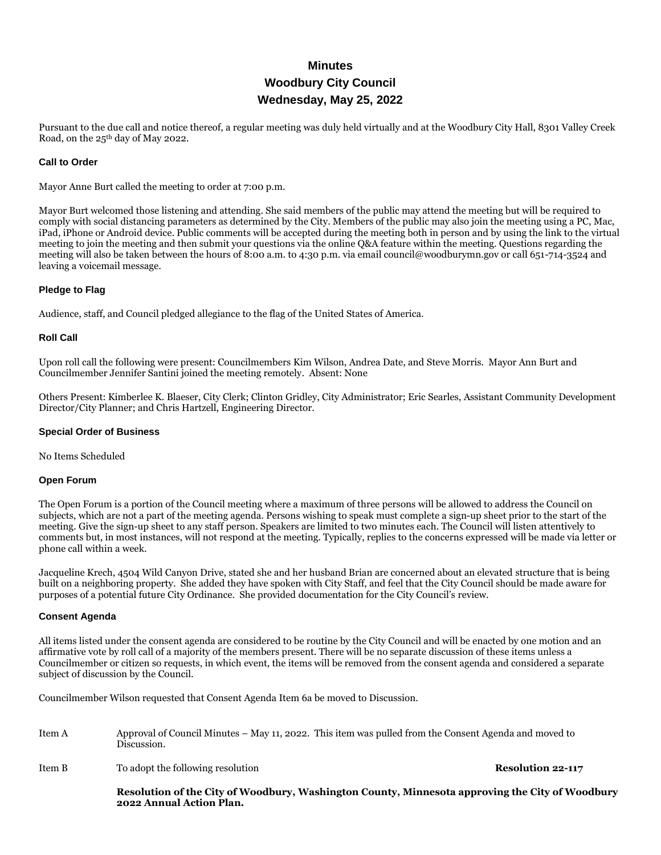# **Minutes Woodbury City Council Wednesday, May 25, 2022**

Pursuant to the due call and notice thereof, a regular meeting was duly held virtually and at the Woodbury City Hall, 8301 Valley Creek Road, on the 25th day of May 2022.

#### **Call to Order**

Mayor Anne Burt called the meeting to order at 7:00 p.m.

Mayor Burt welcomed those listening and attending. She said members of the public may attend the meeting but will be required to comply with social distancing parameters as determined by the City. Members of the public may also join the meeting using a PC, Mac, iPad, iPhone or Android device. Public comments will be accepted during the meeting both in person and by using the link to the virtual meeting to join the meeting and then submit your questions via the online Q&A feature within the meeting. Questions regarding the meeting will also be taken between the hours of 8:00 a.m. to 4:30 p.m. via email council@woodburymn.gov or call 651-714-3524 and leaving a voicemail message.

## **Pledge to Flag**

Audience, staff, and Council pledged allegiance to the flag of the United States of America.

#### **Roll Call**

Upon roll call the following were present: Councilmembers Kim Wilson, Andrea Date, and Steve Morris. Mayor Ann Burt and Councilmember Jennifer Santini joined the meeting remotely. Absent: None

Others Present: Kimberlee K. Blaeser, City Clerk; Clinton Gridley, City Administrator; Eric Searles, Assistant Community Development Director/City Planner; and Chris Hartzell, Engineering Director.

#### **Special Order of Business**

No Items Scheduled

#### **Open Forum**

The Open Forum is a portion of the Council meeting where a maximum of three persons will be allowed to address the Council on subjects, which are not a part of the meeting agenda. Persons wishing to speak must complete a sign-up sheet prior to the start of the meeting. Give the sign-up sheet to any staff person. Speakers are limited to two minutes each. The Council will listen attentively to comments but, in most instances, will not respond at the meeting. Typically, replies to the concerns expressed will be made via letter or phone call within a week.

Jacqueline Krech, 4504 Wild Canyon Drive, stated she and her husband Brian are concerned about an elevated structure that is being built on a neighboring property. She added they have spoken with City Staff, and feel that the City Council should be made aware for purposes of a potential future City Ordinance. She provided documentation for the City Council's review.

#### **Consent Agenda**

All items listed under the consent agenda are considered to be routine by the City Council and will be enacted by one motion and an affirmative vote by roll call of a majority of the members present. There will be no separate discussion of these items unless a Councilmember or citizen so requests, in which event, the items will be removed from the consent agenda and considered a separate subject of discussion by the Council.

Councilmember Wilson requested that Consent Agenda Item 6a be moved to Discussion.

- Item A Approval of Council Minutes May 11, 2022. This item was pulled from the Consent Agenda and moved to Discussion.
- Item B To adopt the following resolution **Resolution 22-117**

**Resolution of the City of Woodbury, Washington County, Minnesota approving the City of Woodbury 2022 Annual Action Plan.**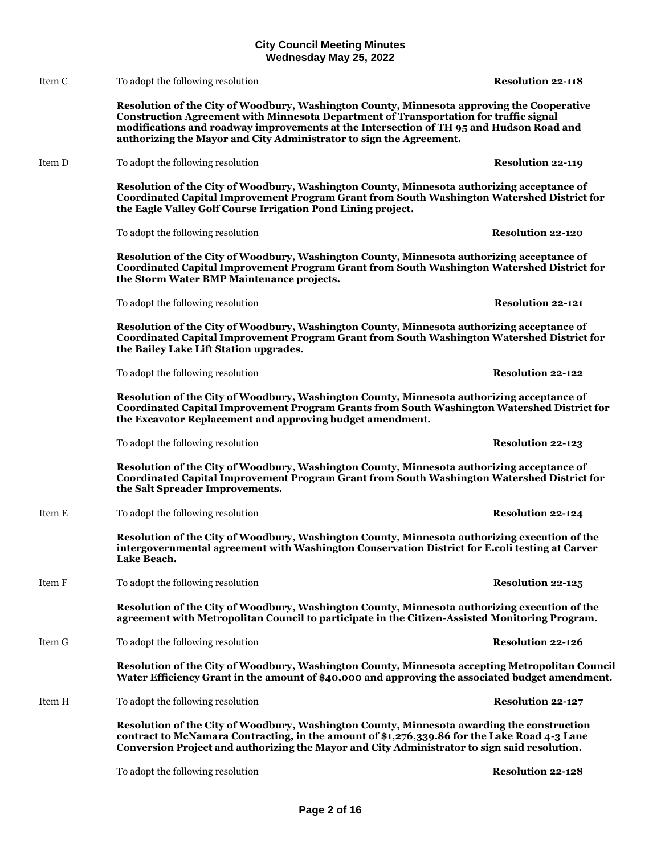Item C To adopt the following resolution **Resolution 22-118**

**Resolution of the City of Woodbury, Washington County, Minnesota approving the Cooperative Construction Agreement with Minnesota Department of Transportation for traffic signal modifications and roadway improvements at the Intersection of TH 95 and Hudson Road and authorizing the Mayor and City Administrator to sign the Agreement.**

Item D To adopt the following resolution **Resolution Resolution Resolution Resolution Resolution Resolution** 

**Resolution of the City of Woodbury, Washington County, Minnesota authorizing acceptance of Coordinated Capital Improvement Program Grant from South Washington Watershed District for the Eagle Valley Golf Course Irrigation Pond Lining project.**

To adopt the following resolution **Resolution 22-120**

**Resolution of the City of Woodbury, Washington County, Minnesota authorizing acceptance of Coordinated Capital Improvement Program Grant from South Washington Watershed District for the Storm Water BMP Maintenance projects.**

To adopt the following resolution **Resolution 22-121**

**Resolution of the City of Woodbury, Washington County, Minnesota authorizing acceptance of Coordinated Capital Improvement Program Grant from South Washington Watershed District for the Bailey Lake Lift Station upgrades.**

To adopt the following resolution **Resolution 22-122**

**Resolution of the City of Woodbury, Washington County, Minnesota authorizing acceptance of Coordinated Capital Improvement Program Grants from South Washington Watershed District for the Excavator Replacement and approving budget amendment.**

To adopt the following resolution **Resolution 22-123**

**Resolution of the City of Woodbury, Washington County, Minnesota authorizing acceptance of Coordinated Capital Improvement Program Grant from South Washington Watershed District for the Salt Spreader Improvements.**

Item E To adopt the following resolution **Resolution 22-124**

**Resolution of the City of Woodbury, Washington County, Minnesota authorizing execution of the intergovernmental agreement with Washington Conservation District for E.coli testing at Carver Lake Beach.**

Item F To adopt the following resolution **Resolution 22-125**

**Resolution of the City of Woodbury, Washington County, Minnesota authorizing execution of the agreement with Metropolitan Council to participate in the Citizen-Assisted Monitoring Program.**

Item G To adopt the following resolution **Resolution 22-126**

**Resolution of the City of Woodbury, Washington County, Minnesota accepting Metropolitan Council Water Efficiency Grant in the amount of \$40,000 and approving the associated budget amendment.**

Item H To adopt the following resolution **Resolution 22-127**

**Resolution of the City of Woodbury, Washington County, Minnesota awarding the construction contract to McNamara Contracting, in the amount of \$1,276,339.86 for the Lake Road 4-3 Lane Conversion Project and authorizing the Mayor and City Administrator to sign said resolution.**

To adopt the following resolution **Resolution 22-128**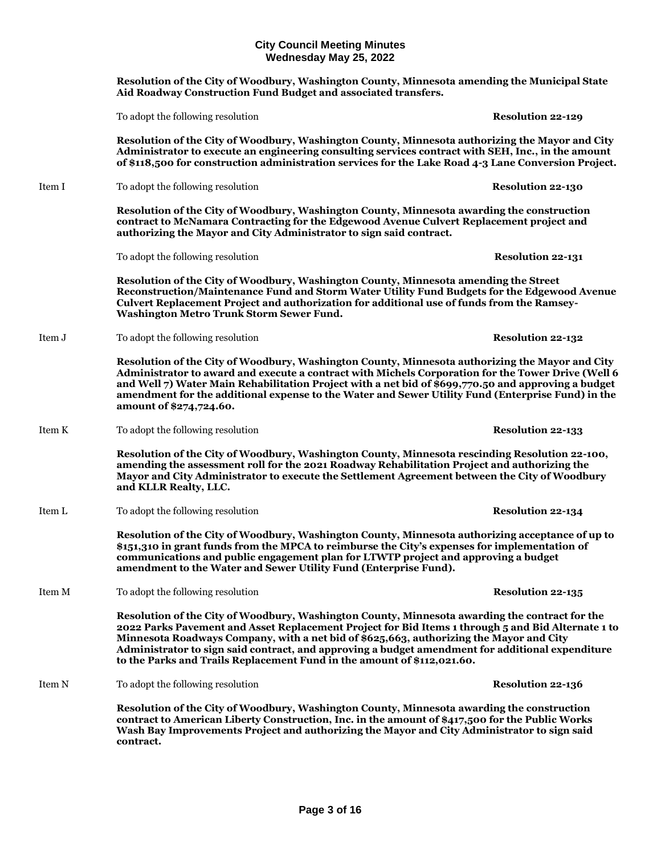**Resolution of the City of Woodbury, Washington County, Minnesota amending the Municipal State Aid Roadway Construction Fund Budget and associated transfers.**

To adopt the following resolution **Resolution 22-129**

**Resolution of the City of Woodbury, Washington County, Minnesota authorizing the Mayor and City Administrator to execute an engineering consulting services contract with SEH, Inc., in the amount of \$118,500 for construction administration services for the Lake Road 4-3 Lane Conversion Project.**

Item I To adopt the following resolution **Resolution Resolution Resolution Resolution 22-130** 

**Resolution of the City of Woodbury, Washington County, Minnesota awarding the construction contract to McNamara Contracting for the Edgewood Avenue Culvert Replacement project and authorizing the Mayor and City Administrator to sign said contract.**

To adopt the following resolution **Resolution 22-131**

**Resolution of the City of Woodbury, Washington County, Minnesota amending the Street Reconstruction/Maintenance Fund and Storm Water Utility Fund Budgets for the Edgewood Avenue Culvert Replacement Project and authorization for additional use of funds from the Ramsey-Washington Metro Trunk Storm Sewer Fund.**

Item J To adopt the following resolution **Resolution Resolution 22-132** 

**Resolution of the City of Woodbury, Washington County, Minnesota authorizing the Mayor and City Administrator to award and execute a contract with Michels Corporation for the Tower Drive (Well 6 and Well 7) Water Main Rehabilitation Project with a net bid of \$699,770.50 and approving a budget amendment for the additional expense to the Water and Sewer Utility Fund (Enterprise Fund) in the amount of \$274,724.60.**

Item K To adopt the following resolution **Resolution Resolution Resolution Resolution** 22-133

**Resolution of the City of Woodbury, Washington County, Minnesota rescinding Resolution 22-100, amending the assessment roll for the 2021 Roadway Rehabilitation Project and authorizing the Mayor and City Administrator to execute the Settlement Agreement between the City of Woodbury and KLLR Realty, LLC.**

Item L To adopt the following resolution **Resolution 22-134**

**Resolution of the City of Woodbury, Washington County, Minnesota authorizing acceptance of up to \$151,310 in grant funds from the MPCA to reimburse the City's expenses for implementation of communications and public engagement plan for LTWTP project and approving a budget amendment to the Water and Sewer Utility Fund (Enterprise Fund).**

Item M To adopt the following resolution **Resolution 22-135**

**Resolution of the City of Woodbury, Washington County, Minnesota awarding the contract for the 2022 Parks Pavement and Asset Replacement Project for Bid Items 1 through 5 and Bid Alternate 1 to Minnesota Roadways Company, with a net bid of \$625,663, authorizing the Mayor and City Administrator to sign said contract, and approving a budget amendment for additional expenditure to the Parks and Trails Replacement Fund in the amount of \$112,021.60.**

Item N To adopt the following resolution **Resolution Resolution Resolution Resolution** 22-136

**Resolution of the City of Woodbury, Washington County, Minnesota awarding the construction contract to American Liberty Construction, Inc. in the amount of \$417,500 for the Public Works Wash Bay Improvements Project and authorizing the Mayor and City Administrator to sign said contract.**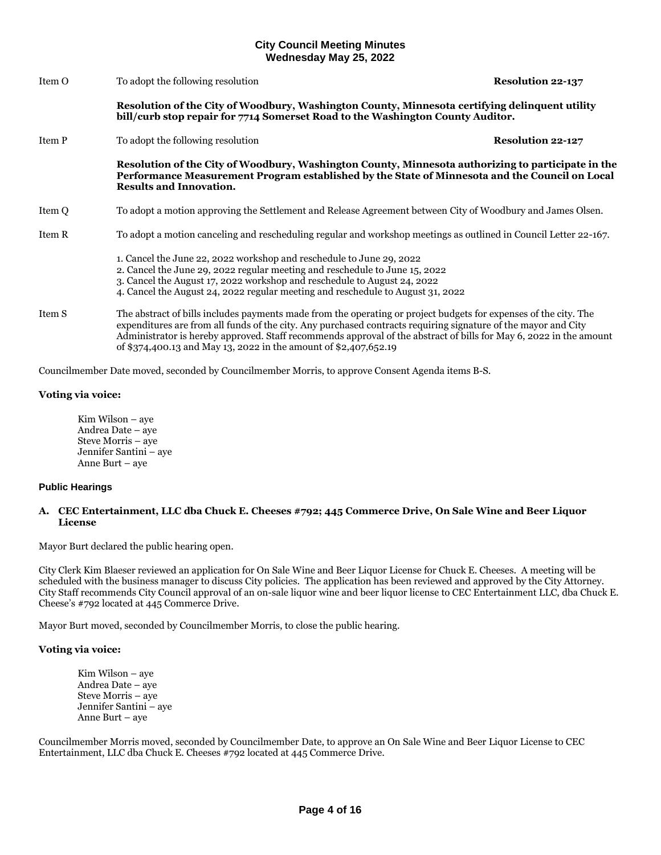| Item O | To adopt the following resolution                                                                                                                                                                                                                                                                                                                                                                                            | <b>Resolution 22-137</b> |  |
|--------|------------------------------------------------------------------------------------------------------------------------------------------------------------------------------------------------------------------------------------------------------------------------------------------------------------------------------------------------------------------------------------------------------------------------------|--------------------------|--|
|        | Resolution of the City of Woodbury, Washington County, Minnesota certifying delinquent utility<br>bill/curb stop repair for 7714 Somerset Road to the Washington County Auditor.                                                                                                                                                                                                                                             |                          |  |
| Item P | To adopt the following resolution                                                                                                                                                                                                                                                                                                                                                                                            | <b>Resolution 22-127</b> |  |
|        | Resolution of the City of Woodbury, Washington County, Minnesota authorizing to participate in the<br>Performance Measurement Program established by the State of Minnesota and the Council on Local<br><b>Results and Innovation.</b>                                                                                                                                                                                       |                          |  |
| Item Q | To adopt a motion approving the Settlement and Release Agreement between City of Woodbury and James Olsen.                                                                                                                                                                                                                                                                                                                   |                          |  |
| Item R | To adopt a motion canceling and rescheduling regular and workshop meetings as outlined in Council Letter 22-167.                                                                                                                                                                                                                                                                                                             |                          |  |
|        | 1. Cancel the June 22, 2022 workshop and reschedule to June 29, 2022<br>2. Cancel the June 29, 2022 regular meeting and reschedule to June 15, 2022<br>3. Cancel the August 17, 2022 workshop and reschedule to August 24, 2022<br>4. Cancel the August 24, 2022 regular meeting and reschedule to August 31, 2022                                                                                                           |                          |  |
| Item S | The abstract of bills includes payments made from the operating or project budgets for expenses of the city. The<br>expenditures are from all funds of the city. Any purchased contracts requiring signature of the mayor and City<br>Administrator is hereby approved. Staff recommends approval of the abstract of bills for May 6, 2022 in the amount<br>of \$374,400.13 and May 13, 2022 in the amount of \$2,407,652.19 |                          |  |

Councilmember Date moved, seconded by Councilmember Morris, to approve Consent Agenda items B-S.

## **Voting via voice:**

Kim Wilson – aye Andrea Date – aye Steve Morris – aye Jennifer Santini – aye Anne Burt – aye

## **Public Hearings**

## **A. CEC Entertainment, LLC dba Chuck E. Cheeses #792; 445 Commerce Drive, On Sale Wine and Beer Liquor License**

Mayor Burt declared the public hearing open.

City Clerk Kim Blaeser reviewed an application for On Sale Wine and Beer Liquor License for Chuck E. Cheeses. A meeting will be scheduled with the business manager to discuss City policies. The application has been reviewed and approved by the City Attorney. City Staff recommends City Council approval of an on-sale liquor wine and beer liquor license to CEC Entertainment LLC, dba Chuck E. Cheese's #792 located at 445 Commerce Drive.

Mayor Burt moved, seconded by Councilmember Morris, to close the public hearing.

## **Voting via voice:**

Kim Wilson – aye Andrea Date – aye Steve Morris – aye Jennifer Santini – aye Anne Burt – aye

Councilmember Morris moved, seconded by Councilmember Date, to approve an On Sale Wine and Beer Liquor License to CEC Entertainment, LLC dba Chuck E. Cheeses #792 located at 445 Commerce Drive.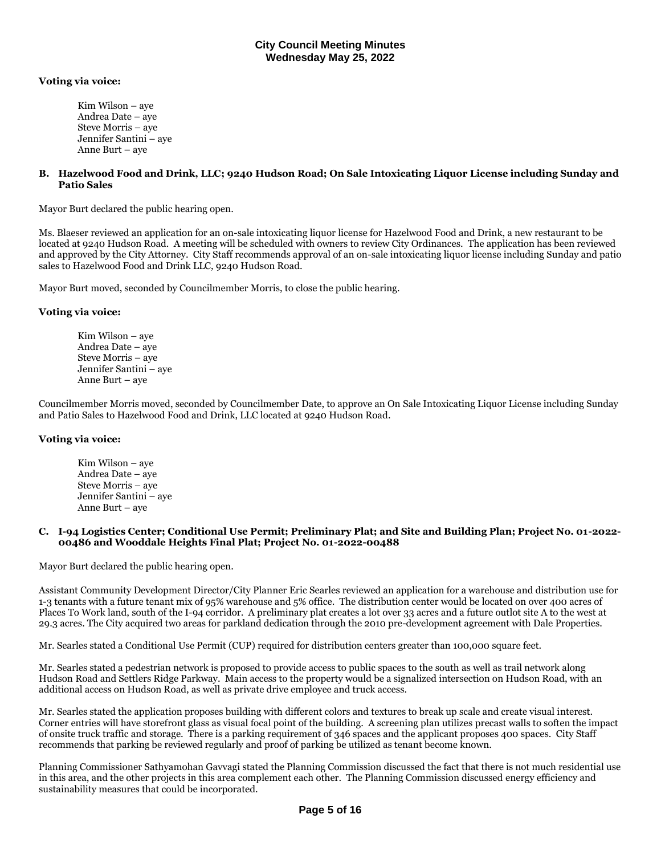## **Voting via voice:**

Kim Wilson – aye Andrea Date – aye Steve Morris – aye Jennifer Santini – aye Anne Burt – aye

## **B. Hazelwood Food and Drink, LLC; 9240 Hudson Road; On Sale Intoxicating Liquor License including Sunday and Patio Sales**

Mayor Burt declared the public hearing open.

Ms. Blaeser reviewed an application for an on-sale intoxicating liquor license for Hazelwood Food and Drink, a new restaurant to be located at 9240 Hudson Road. A meeting will be scheduled with owners to review City Ordinances. The application has been reviewed and approved by the City Attorney. City Staff recommends approval of an on-sale intoxicating liquor license including Sunday and patio sales to Hazelwood Food and Drink LLC, 9240 Hudson Road.

Mayor Burt moved, seconded by Councilmember Morris, to close the public hearing.

## **Voting via voice:**

Kim Wilson – aye Andrea Date – aye Steve Morris – aye Jennifer Santini – aye Anne Burt – aye

Councilmember Morris moved, seconded by Councilmember Date, to approve an On Sale Intoxicating Liquor License including Sunday and Patio Sales to Hazelwood Food and Drink, LLC located at 9240 Hudson Road.

## **Voting via voice:**

Kim Wilson – aye Andrea Date – aye Steve Morris – aye Jennifer Santini – aye Anne Burt – aye

## **C. I-94 Logistics Center; Conditional Use Permit; Preliminary Plat; and Site and Building Plan; Project No. 01-2022- 00486 and Wooddale Heights Final Plat; Project No. 01-2022-00488**

Mayor Burt declared the public hearing open.

Assistant Community Development Director/City Planner Eric Searles reviewed an application for a warehouse and distribution use for 1-3 tenants with a future tenant mix of 95% warehouse and 5% office. The distribution center would be located on over 400 acres of Places To Work land, south of the I-94 corridor. A preliminary plat creates a lot over 33 acres and a future outlot site A to the west at 29.3 acres. The City acquired two areas for parkland dedication through the 2010 pre-development agreement with Dale Properties.

Mr. Searles stated a Conditional Use Permit (CUP) required for distribution centers greater than 100,000 square feet.

Mr. Searles stated a pedestrian network is proposed to provide access to public spaces to the south as well as trail network along Hudson Road and Settlers Ridge Parkway. Main access to the property would be a signalized intersection on Hudson Road, with an additional access on Hudson Road, as well as private drive employee and truck access.

Mr. Searles stated the application proposes building with different colors and textures to break up scale and create visual interest. Corner entries will have storefront glass as visual focal point of the building. A screening plan utilizes precast walls to soften the impact of onsite truck traffic and storage. There is a parking requirement of 346 spaces and the applicant proposes 400 spaces. City Staff recommends that parking be reviewed regularly and proof of parking be utilized as tenant become known.

Planning Commissioner Sathyamohan Gavvagi stated the Planning Commission discussed the fact that there is not much residential use in this area, and the other projects in this area complement each other. The Planning Commission discussed energy efficiency and sustainability measures that could be incorporated.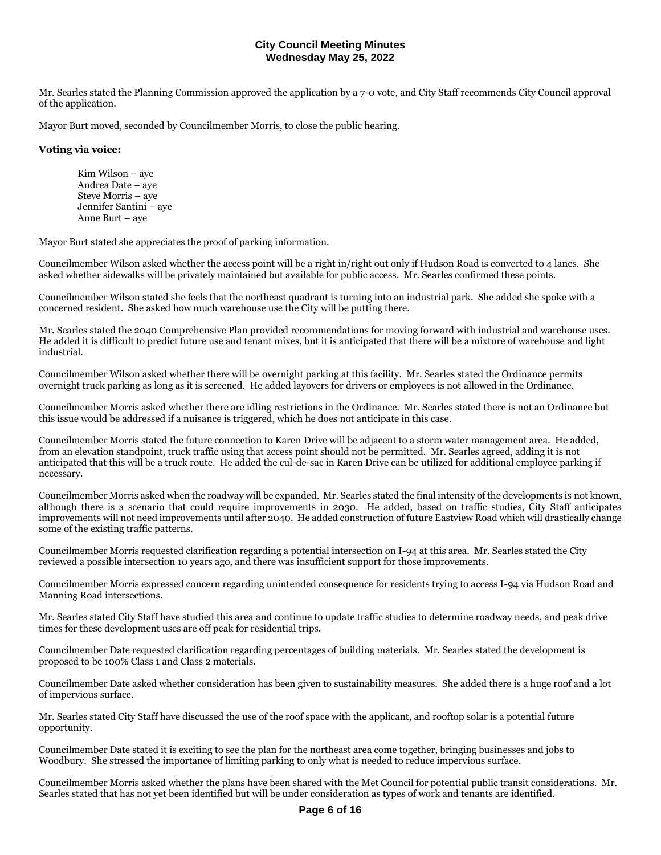Mr. Searles stated the Planning Commission approved the application by a 7-0 vote, and City Staff recommends City Council approval of the application.

Mayor Burt moved, seconded by Councilmember Morris, to close the public hearing.

## **Voting via voice:**

Kim Wilson – aye Andrea Date – aye Steve Morris – aye Jennifer Santini – aye Anne Burt – aye

Mayor Burt stated she appreciates the proof of parking information.

Councilmember Wilson asked whether the access point will be a right in/right out only if Hudson Road is converted to 4 lanes. She asked whether sidewalks will be privately maintained but available for public access. Mr. Searles confirmed these points.

Councilmember Wilson stated she feels that the northeast quadrant is turning into an industrial park. She added she spoke with a concerned resident. She asked how much warehouse use the City will be putting there.

Mr. Searles stated the 2040 Comprehensive Plan provided recommendations for moving forward with industrial and warehouse uses. He added it is difficult to predict future use and tenant mixes, but it is anticipated that there will be a mixture of warehouse and light industrial.

Councilmember Wilson asked whether there will be overnight parking at this facility. Mr. Searles stated the Ordinance permits overnight truck parking as long as it is screened. He added layovers for drivers or employees is not allowed in the Ordinance.

Councilmember Morris asked whether there are idling restrictions in the Ordinance. Mr. Searles stated there is not an Ordinance but this issue would be addressed if a nuisance is triggered, which he does not anticipate in this case.

Councilmember Morris stated the future connection to Karen Drive will be adjacent to a storm water management area. He added, from an elevation standpoint, truck traffic using that access point should not be permitted. Mr. Searles agreed, adding it is not anticipated that this will be a truck route. He added the cul-de-sac in Karen Drive can be utilized for additional employee parking if necessary.

Councilmember Morris asked when the roadway will be expanded. Mr. Searles stated the final intensity of the developments is not known, although there is a scenario that could require improvements in 2030. He added, based on traffic studies, City Staff anticipates improvements will not need improvements until after 2040. He added construction of future Eastview Road which will drastically change some of the existing traffic patterns.

Councilmember Morris requested clarification regarding a potential intersection on I-94 at this area. Mr. Searles stated the City reviewed a possible intersection 10 years ago, and there was insufficient support for those improvements.

Councilmember Morris expressed concern regarding unintended consequence for residents trying to access I-94 via Hudson Road and Manning Road intersections.

Mr. Searles stated City Staff have studied this area and continue to update traffic studies to determine roadway needs, and peak drive times for these development uses are off peak for residential trips.

Councilmember Date requested clarification regarding percentages of building materials. Mr. Searles stated the development is proposed to be 100% Class 1 and Class 2 materials.

Councilmember Date asked whether consideration has been given to sustainability measures. She added there is a huge roof and a lot of impervious surface.

Mr. Searles stated City Staff have discussed the use of the roof space with the applicant, and rooftop solar is a potential future opportunity.

Councilmember Date stated it is exciting to see the plan for the northeast area come together, bringing businesses and jobs to Woodbury. She stressed the importance of limiting parking to only what is needed to reduce impervious surface.

Councilmember Morris asked whether the plans have been shared with the Met Council for potential public transit considerations. Mr. Searles stated that has not yet been identified but will be under consideration as types of work and tenants are identified.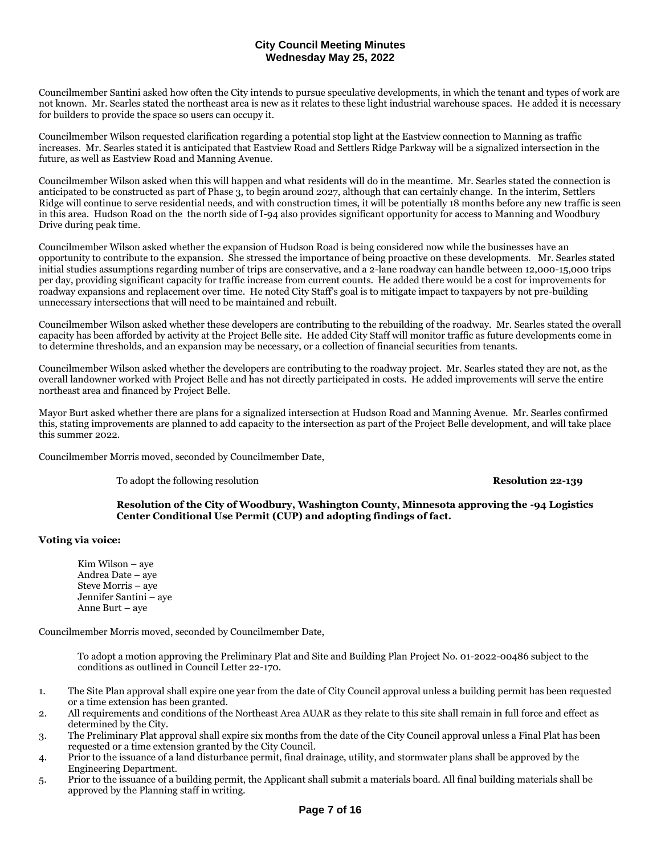Councilmember Santini asked how often the City intends to pursue speculative developments, in which the tenant and types of work are not known. Mr. Searles stated the northeast area is new as it relates to these light industrial warehouse spaces. He added it is necessary for builders to provide the space so users can occupy it.

Councilmember Wilson requested clarification regarding a potential stop light at the Eastview connection to Manning as traffic increases. Mr. Searles stated it is anticipated that Eastview Road and Settlers Ridge Parkway will be a signalized intersection in the future, as well as Eastview Road and Manning Avenue.

Councilmember Wilson asked when this will happen and what residents will do in the meantime. Mr. Searles stated the connection is anticipated to be constructed as part of Phase 3, to begin around 2027, although that can certainly change. In the interim, Settlers Ridge will continue to serve residential needs, and with construction times, it will be potentially 18 months before any new traffic is seen in this area. Hudson Road on the the north side of I-94 also provides significant opportunity for access to Manning and Woodbury Drive during peak time.

Councilmember Wilson asked whether the expansion of Hudson Road is being considered now while the businesses have an opportunity to contribute to the expansion. She stressed the importance of being proactive on these developments. Mr. Searles stated initial studies assumptions regarding number of trips are conservative, and a 2-lane roadway can handle between 12,000-15,000 trips per day, providing significant capacity for traffic increase from current counts. He added there would be a cost for improvements for roadway expansions and replacement over time. He noted City Staff's goal is to mitigate impact to taxpayers by not pre-building unnecessary intersections that will need to be maintained and rebuilt.

Councilmember Wilson asked whether these developers are contributing to the rebuilding of the roadway. Mr. Searles stated the overall capacity has been afforded by activity at the Project Belle site. He added City Staff will monitor traffic as future developments come in to determine thresholds, and an expansion may be necessary, or a collection of financial securities from tenants.

Councilmember Wilson asked whether the developers are contributing to the roadway project. Mr. Searles stated they are not, as the overall landowner worked with Project Belle and has not directly participated in costs. He added improvements will serve the entire northeast area and financed by Project Belle.

Mayor Burt asked whether there are plans for a signalized intersection at Hudson Road and Manning Avenue. Mr. Searles confirmed this, stating improvements are planned to add capacity to the intersection as part of the Project Belle development, and will take place this summer 2022.

Councilmember Morris moved, seconded by Councilmember Date,

To adopt the following resolution **Resolution 22-139**

## **Resolution of the City of Woodbury, Washington County, Minnesota approving the -94 Logistics Center Conditional Use Permit (CUP) and adopting findings of fact.**

## **Voting via voice:**

Kim Wilson – aye Andrea Date – aye Steve Morris – aye Jennifer Santini – aye Anne Burt – aye

Councilmember Morris moved, seconded by Councilmember Date,

To adopt a motion approving the Preliminary Plat and Site and Building Plan Project No. 01-2022-00486 subject to the conditions as outlined in Council Letter 22-170.

- 1. The Site Plan approval shall expire one year from the date of City Council approval unless a building permit has been requested or a time extension has been granted.
- 2. All requirements and conditions of the Northeast Area AUAR as they relate to this site shall remain in full force and effect as determined by the City.
- 3. The Preliminary Plat approval shall expire six months from the date of the City Council approval unless a Final Plat has been requested or a time extension granted by the City Council.
- 4. Prior to the issuance of a land disturbance permit, final drainage, utility, and stormwater plans shall be approved by the Engineering Department.
- 5. Prior to the issuance of a building permit, the Applicant shall submit a materials board. All final building materials shall be approved by the Planning staff in writing.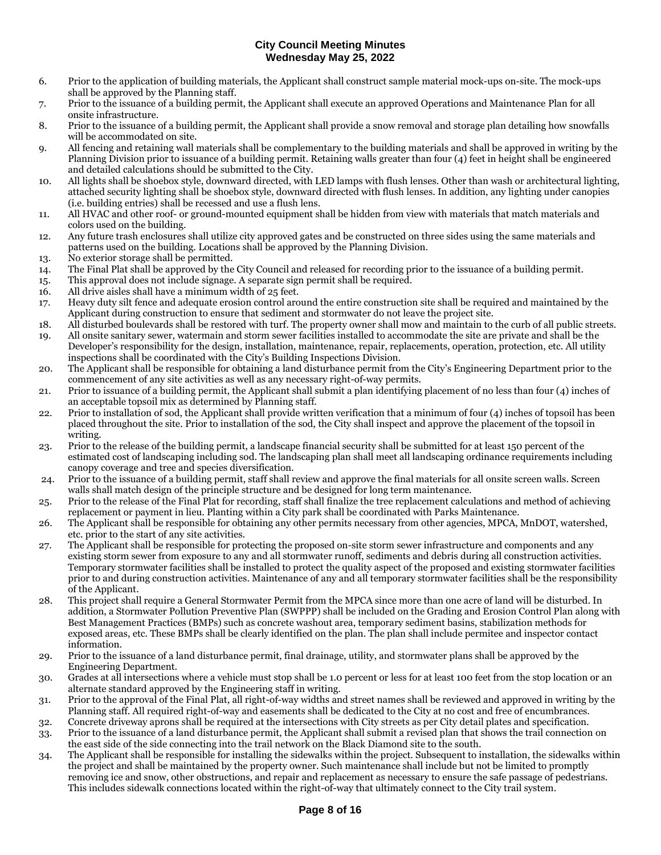- 6. Prior to the application of building materials, the Applicant shall construct sample material mock-ups on-site. The mock-ups shall be approved by the Planning staff.
- 7. Prior to the issuance of a building permit, the Applicant shall execute an approved Operations and Maintenance Plan for all onsite infrastructure.
- 8. Prior to the issuance of a building permit, the Applicant shall provide a snow removal and storage plan detailing how snowfalls will be accommodated on site.
- 9. All fencing and retaining wall materials shall be complementary to the building materials and shall be approved in writing by the Planning Division prior to issuance of a building permit. Retaining walls greater than four (4) feet in height shall be engineered and detailed calculations should be submitted to the City.
- 10. All lights shall be shoebox style, downward directed, with LED lamps with flush lenses. Other than wash or architectural lighting, attached security lighting shall be shoebox style, downward directed with flush lenses. In addition, any lighting under canopies (i.e. building entries) shall be recessed and use a flush lens.
- 11. All HVAC and other roof- or ground-mounted equipment shall be hidden from view with materials that match materials and colors used on the building.
- 12. Any future trash enclosures shall utilize city approved gates and be constructed on three sides using the same materials and patterns used on the building. Locations shall be approved by the Planning Division.
- 13. No exterior storage shall be permitted.
- 14. The Final Plat shall be approved by the City Council and released for recording prior to the issuance of a building permit.
- 15. This approval does not include signage. A separate sign permit shall be required.
- 16. All drive aisles shall have a minimum width of 25 feet.
- 17. Heavy duty silt fence and adequate erosion control around the entire construction site shall be required and maintained by the Applicant during construction to ensure that sediment and stormwater do not leave the project site.
- 18. All disturbed boulevards shall be restored with turf. The property owner shall mow and maintain to the curb of all public streets.
- 19. All onsite sanitary sewer, watermain and storm sewer facilities installed to accommodate the site are private and shall be the Developer's responsibility for the design, installation, maintenance, repair, replacements, operation, protection, etc. All utility inspections shall be coordinated with the City's Building Inspections Division.
- 20. The Applicant shall be responsible for obtaining a land disturbance permit from the City's Engineering Department prior to the commencement of any site activities as well as any necessary right-of-way permits.
- 21. Prior to issuance of a building permit, the Applicant shall submit a plan identifying placement of no less than four (4) inches of an acceptable topsoil mix as determined by Planning staff.
- 22. Prior to installation of sod, the Applicant shall provide written verification that a minimum of four (4) inches of topsoil has been placed throughout the site. Prior to installation of the sod, the City shall inspect and approve the placement of the topsoil in writing.
- 23. Prior to the release of the building permit, a landscape financial security shall be submitted for at least 150 percent of the estimated cost of landscaping including sod. The landscaping plan shall meet all landscaping ordinance requirements including canopy coverage and tree and species diversification.
- 24. Prior to the issuance of a building permit, staff shall review and approve the final materials for all onsite screen walls. Screen walls shall match design of the principle structure and be designed for long term maintenance.
- 25. Prior to the release of the Final Plat for recording, staff shall finalize the tree replacement calculations and method of achieving replacement or payment in lieu. Planting within a City park shall be coordinated with Parks Maintenance.
- 26. The Applicant shall be responsible for obtaining any other permits necessary from other agencies, MPCA, MnDOT, watershed, etc. prior to the start of any site activities.
- 27. The Applicant shall be responsible for protecting the proposed on-site storm sewer infrastructure and components and any existing storm sewer from exposure to any and all stormwater runoff, sediments and debris during all construction activities. Temporary stormwater facilities shall be installed to protect the quality aspect of the proposed and existing stormwater facilities prior to and during construction activities. Maintenance of any and all temporary stormwater facilities shall be the responsibility of the Applicant.
- 28. This project shall require a General Stormwater Permit from the MPCA since more than one acre of land will be disturbed. In addition, a Stormwater Pollution Preventive Plan (SWPPP) shall be included on the Grading and Erosion Control Plan along with Best Management Practices (BMPs) such as concrete washout area, temporary sediment basins, stabilization methods for exposed areas, etc. These BMPs shall be clearly identified on the plan. The plan shall include permitee and inspector contact information.
- 29. Prior to the issuance of a land disturbance permit, final drainage, utility, and stormwater plans shall be approved by the Engineering Department.
- 30. Grades at all intersections where a vehicle must stop shall be 1.0 percent or less for at least 100 feet from the stop location or an alternate standard approved by the Engineering staff in writing.
- 31. Prior to the approval of the Final Plat, all right-of-way widths and street names shall be reviewed and approved in writing by the Planning staff. All required right-of-way and easements shall be dedicated to the City at no cost and free of encumbrances.
- 32. Concrete driveway aprons shall be required at the intersections with City streets as per City detail plates and specification.
- 33. Prior to the issuance of a land disturbance permit, the Applicant shall submit a revised plan that shows the trail connection on the east side of the side connecting into the trail network on the Black Diamond site to the south.
- 34. The Applicant shall be responsible for installing the sidewalks within the project. Subsequent to installation, the sidewalks within the project and shall be maintained by the property owner. Such maintenance shall include but not be limited to promptly removing ice and snow, other obstructions, and repair and replacement as necessary to ensure the safe passage of pedestrians. This includes sidewalk connections located within the right-of-way that ultimately connect to the City trail system.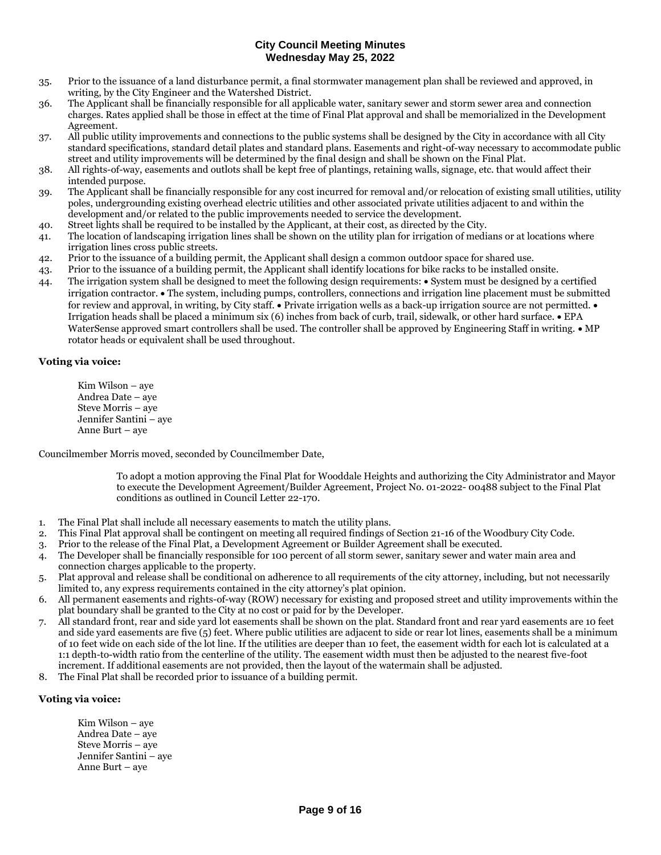- 35. Prior to the issuance of a land disturbance permit, a final stormwater management plan shall be reviewed and approved, in writing, by the City Engineer and the Watershed District.
- 36. The Applicant shall be financially responsible for all applicable water, sanitary sewer and storm sewer area and connection charges. Rates applied shall be those in effect at the time of Final Plat approval and shall be memorialized in the Development Agreement.
- 37. All public utility improvements and connections to the public systems shall be designed by the City in accordance with all City standard specifications, standard detail plates and standard plans. Easements and right-of-way necessary to accommodate public street and utility improvements will be determined by the final design and shall be shown on the Final Plat.
- 38. All rights-of-way, easements and outlots shall be kept free of plantings, retaining walls, signage, etc. that would affect their intended purpose.
- 39. The Applicant shall be financially responsible for any cost incurred for removal and/or relocation of existing small utilities, utility poles, undergrounding existing overhead electric utilities and other associated private utilities adjacent to and within the development and/or related to the public improvements needed to service the development.
- 40. Street lights shall be required to be installed by the Applicant, at their cost, as directed by the City.
- 41. The location of landscaping irrigation lines shall be shown on the utility plan for irrigation of medians or at locations where irrigation lines cross public streets.
- 42. Prior to the issuance of a building permit, the Applicant shall design a common outdoor space for shared use.
- 43. Prior to the issuance of a building permit, the Applicant shall identify locations for bike racks to be installed onsite.
- 44. The irrigation system shall be designed to meet the following design requirements: System must be designed by a certified irrigation contractor. • The system, including pumps, controllers, connections and irrigation line placement must be submitted for review and approval, in writing, by City staff.  $\bullet$  Private irrigation wells as a back-up irrigation source are not permitted.  $\bullet$ Irrigation heads shall be placed a minimum six (6) inches from back of curb, trail, sidewalk, or other hard surface. • EPA WaterSense approved smart controllers shall be used. The controller shall be approved by Engineering Staff in writing.  $\bullet$  MP rotator heads or equivalent shall be used throughout.

## **Voting via voice:**

Kim Wilson – aye Andrea Date – aye Steve Morris – aye Jennifer Santini – aye Anne Burt – aye

Councilmember Morris moved, seconded by Councilmember Date,

To adopt a motion approving the Final Plat for Wooddale Heights and authorizing the City Administrator and Mayor to execute the Development Agreement/Builder Agreement, Project No. 01-2022- 00488 subject to the Final Plat conditions as outlined in Council Letter 22-170.

- 1. The Final Plat shall include all necessary easements to match the utility plans.
- 2. This Final Plat approval shall be contingent on meeting all required findings of Section 21-16 of the Woodbury City Code.
- 3. Prior to the release of the Final Plat, a Development Agreement or Builder Agreement shall be executed.
- 4. The Developer shall be financially responsible for 100 percent of all storm sewer, sanitary sewer and water main area and connection charges applicable to the property.
- 5. Plat approval and release shall be conditional on adherence to all requirements of the city attorney, including, but not necessarily limited to, any express requirements contained in the city attorney's plat opinion.
- 6. All permanent easements and rights-of-way (ROW) necessary for existing and proposed street and utility improvements within the plat boundary shall be granted to the City at no cost or paid for by the Developer.
- 7. All standard front, rear and side yard lot easements shall be shown on the plat. Standard front and rear yard easements are 10 feet and side yard easements are five (5) feet. Where public utilities are adjacent to side or rear lot lines, easements shall be a minimum of 10 feet wide on each side of the lot line. If the utilities are deeper than 10 feet, the easement width for each lot is calculated at a 1:1 depth-to-width ratio from the centerline of the utility. The easement width must then be adjusted to the nearest five-foot increment. If additional easements are not provided, then the layout of the watermain shall be adjusted.
- 8. The Final Plat shall be recorded prior to issuance of a building permit.

## **Voting via voice:**

Kim Wilson – aye Andrea Date – aye Steve Morris – aye Jennifer Santini – aye Anne Burt – aye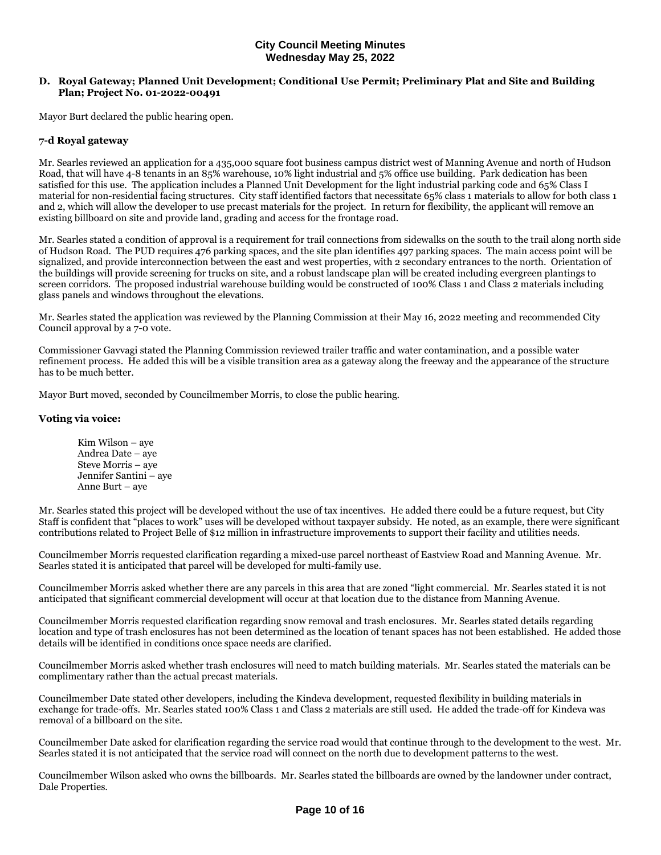## **D. Royal Gateway; Planned Unit Development; Conditional Use Permit; Preliminary Plat and Site and Building Plan; Project No. 01-2022-00491**

Mayor Burt declared the public hearing open.

## **7-d Royal gateway**

Mr. Searles reviewed an application for a 435,000 square foot business campus district west of Manning Avenue and north of Hudson Road, that will have 4-8 tenants in an 85% warehouse, 10% light industrial and 5% office use building. Park dedication has been satisfied for this use. The application includes a Planned Unit Development for the light industrial parking code and 65% Class I material for non-residential facing structures. City staff identified factors that necessitate 65% class 1 materials to allow for both class 1 and 2, which will allow the developer to use precast materials for the project. In return for flexibility, the applicant will remove an existing billboard on site and provide land, grading and access for the frontage road.

Mr. Searles stated a condition of approval is a requirement for trail connections from sidewalks on the south to the trail along north side of Hudson Road. The PUD requires 476 parking spaces, and the site plan identifies 497 parking spaces. The main access point will be signalized, and provide interconnection between the east and west properties, with 2 secondary entrances to the north. Orientation of the buildings will provide screening for trucks on site, and a robust landscape plan will be created including evergreen plantings to screen corridors. The proposed industrial warehouse building would be constructed of 100% Class 1 and Class 2 materials including glass panels and windows throughout the elevations.

Mr. Searles stated the application was reviewed by the Planning Commission at their May 16, 2022 meeting and recommended City Council approval by a 7-0 vote.

Commissioner Gavvagi stated the Planning Commission reviewed trailer traffic and water contamination, and a possible water refinement process. He added this will be a visible transition area as a gateway along the freeway and the appearance of the structure has to be much better.

Mayor Burt moved, seconded by Councilmember Morris, to close the public hearing.

## **Voting via voice:**

Kim Wilson – aye Andrea Date – aye Steve Morris – aye Jennifer Santini – aye Anne Burt – aye

Mr. Searles stated this project will be developed without the use of tax incentives. He added there could be a future request, but City Staff is confident that "places to work" uses will be developed without taxpayer subsidy. He noted, as an example, there were significant contributions related to Project Belle of \$12 million in infrastructure improvements to support their facility and utilities needs.

Councilmember Morris requested clarification regarding a mixed-use parcel northeast of Eastview Road and Manning Avenue. Mr. Searles stated it is anticipated that parcel will be developed for multi-family use.

Councilmember Morris asked whether there are any parcels in this area that are zoned "light commercial. Mr. Searles stated it is not anticipated that significant commercial development will occur at that location due to the distance from Manning Avenue.

Councilmember Morris requested clarification regarding snow removal and trash enclosures. Mr. Searles stated details regarding location and type of trash enclosures has not been determined as the location of tenant spaces has not been established. He added those details will be identified in conditions once space needs are clarified.

Councilmember Morris asked whether trash enclosures will need to match building materials. Mr. Searles stated the materials can be complimentary rather than the actual precast materials.

Councilmember Date stated other developers, including the Kindeva development, requested flexibility in building materials in exchange for trade-offs. Mr. Searles stated 100% Class 1 and Class 2 materials are still used. He added the trade-off for Kindeva was removal of a billboard on the site.

Councilmember Date asked for clarification regarding the service road would that continue through to the development to the west. Mr. Searles stated it is not anticipated that the service road will connect on the north due to development patterns to the west.

Councilmember Wilson asked who owns the billboards. Mr. Searles stated the billboards are owned by the landowner under contract, Dale Properties.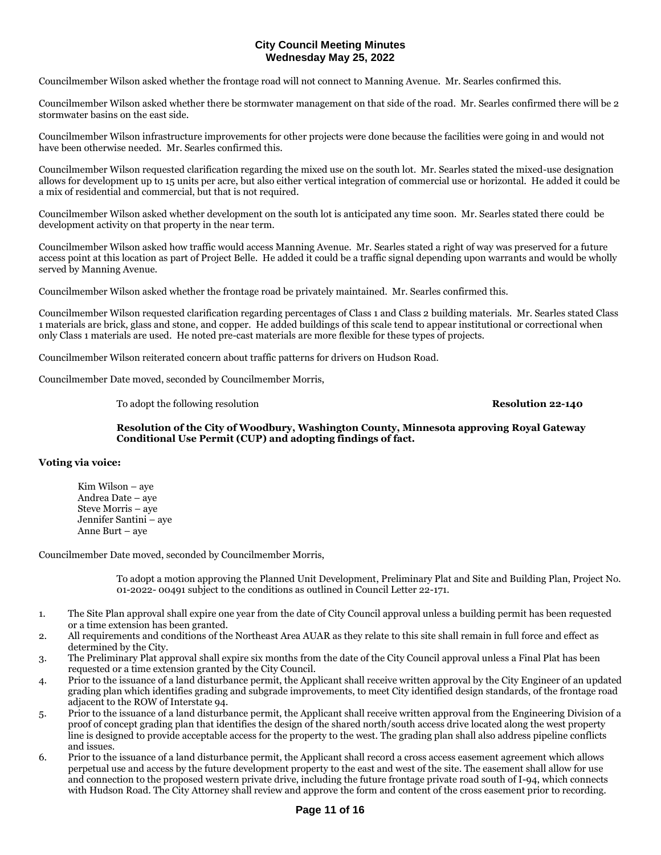Councilmember Wilson asked whether the frontage road will not connect to Manning Avenue. Mr. Searles confirmed this.

Councilmember Wilson asked whether there be stormwater management on that side of the road. Mr. Searles confirmed there will be 2 stormwater basins on the east side.

Councilmember Wilson infrastructure improvements for other projects were done because the facilities were going in and would not have been otherwise needed. Mr. Searles confirmed this.

Councilmember Wilson requested clarification regarding the mixed use on the south lot. Mr. Searles stated the mixed-use designation allows for development up to 15 units per acre, but also either vertical integration of commercial use or horizontal. He added it could be a mix of residential and commercial, but that is not required.

Councilmember Wilson asked whether development on the south lot is anticipated any time soon. Mr. Searles stated there could be development activity on that property in the near term.

Councilmember Wilson asked how traffic would access Manning Avenue. Mr. Searles stated a right of way was preserved for a future access point at this location as part of Project Belle. He added it could be a traffic signal depending upon warrants and would be wholly served by Manning Avenue.

Councilmember Wilson asked whether the frontage road be privately maintained. Mr. Searles confirmed this.

Councilmember Wilson requested clarification regarding percentages of Class 1 and Class 2 building materials. Mr. Searles stated Class 1 materials are brick, glass and stone, and copper. He added buildings of this scale tend to appear institutional or correctional when only Class 1 materials are used. He noted pre-cast materials are more flexible for these types of projects.

Councilmember Wilson reiterated concern about traffic patterns for drivers on Hudson Road.

Councilmember Date moved, seconded by Councilmember Morris,

To adopt the following resolution **Resolution 22-140**

**Resolution of the City of Woodbury, Washington County, Minnesota approving Royal Gateway Conditional Use Permit (CUP) and adopting findings of fact.** 

**Voting via voice:**

Kim Wilson – aye Andrea Date – aye Steve Morris – aye Jennifer Santini – aye Anne Burt – aye

Councilmember Date moved, seconded by Councilmember Morris,

To adopt a motion approving the Planned Unit Development, Preliminary Plat and Site and Building Plan, Project No. 01-2022- 00491 subject to the conditions as outlined in Council Letter 22-171.

- 1. The Site Plan approval shall expire one year from the date of City Council approval unless a building permit has been requested or a time extension has been granted.
- 2. All requirements and conditions of the Northeast Area AUAR as they relate to this site shall remain in full force and effect as determined by the City.
- 3. The Preliminary Plat approval shall expire six months from the date of the City Council approval unless a Final Plat has been requested or a time extension granted by the City Council.
- 4. Prior to the issuance of a land disturbance permit, the Applicant shall receive written approval by the City Engineer of an updated grading plan which identifies grading and subgrade improvements, to meet City identified design standards, of the frontage road adjacent to the ROW of Interstate 94.
- 5. Prior to the issuance of a land disturbance permit, the Applicant shall receive written approval from the Engineering Division of a proof of concept grading plan that identifies the design of the shared north/south access drive located along the west property line is designed to provide acceptable access for the property to the west. The grading plan shall also address pipeline conflicts and issues.
- 6. Prior to the issuance of a land disturbance permit, the Applicant shall record a cross access easement agreement which allows perpetual use and access by the future development property to the east and west of the site. The easement shall allow for use and connection to the proposed western private drive, including the future frontage private road south of I-94, which connects with Hudson Road. The City Attorney shall review and approve the form and content of the cross easement prior to recording.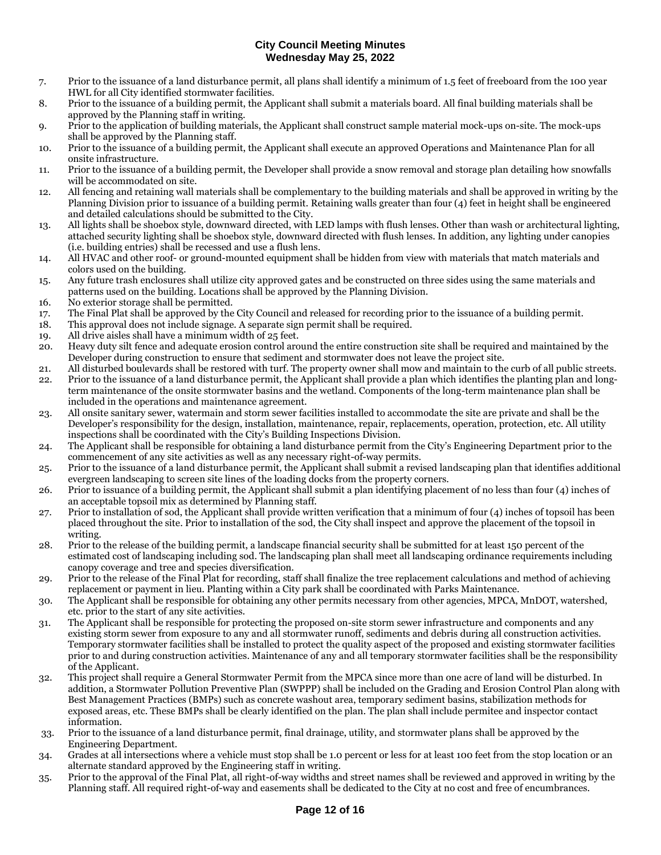- 7. Prior to the issuance of a land disturbance permit, all plans shall identify a minimum of 1.5 feet of freeboard from the 100 year HWL for all City identified stormwater facilities.
- 8. Prior to the issuance of a building permit, the Applicant shall submit a materials board. All final building materials shall be approved by the Planning staff in writing.
- 9. Prior to the application of building materials, the Applicant shall construct sample material mock-ups on-site. The mock-ups shall be approved by the Planning staff.
- 10. Prior to the issuance of a building permit, the Applicant shall execute an approved Operations and Maintenance Plan for all onsite infrastructure.
- 11. Prior to the issuance of a building permit, the Developer shall provide a snow removal and storage plan detailing how snowfalls will be accommodated on site.
- 12. All fencing and retaining wall materials shall be complementary to the building materials and shall be approved in writing by the Planning Division prior to issuance of a building permit. Retaining walls greater than four (4) feet in height shall be engineered and detailed calculations should be submitted to the City.
- 13. All lights shall be shoebox style, downward directed, with LED lamps with flush lenses. Other than wash or architectural lighting, attached security lighting shall be shoebox style, downward directed with flush lenses. In addition, any lighting under canopies (i.e. building entries) shall be recessed and use a flush lens.
- 14. All HVAC and other roof- or ground-mounted equipment shall be hidden from view with materials that match materials and colors used on the building.
- 15. Any future trash enclosures shall utilize city approved gates and be constructed on three sides using the same materials and patterns used on the building. Locations shall be approved by the Planning Division.
- 16. No exterior storage shall be permitted.
- 17. The Final Plat shall be approved by the City Council and released for recording prior to the issuance of a building permit.
- 18. This approval does not include signage. A separate sign permit shall be required.
- 19. All drive aisles shall have a minimum width of 25 feet.
- 20. Heavy duty silt fence and adequate erosion control around the entire construction site shall be required and maintained by the Developer during construction to ensure that sediment and stormwater does not leave the project site.
- 21. All disturbed boulevards shall be restored with turf. The property owner shall mow and maintain to the curb of all public streets. 22. Prior to the issuance of a land disturbance permit, the Applicant shall provide a plan which identifies the planting plan and longterm maintenance of the onsite stormwater basins and the wetland. Components of the long-term maintenance plan shall be included in the operations and maintenance agreement.
- 23. All onsite sanitary sewer, watermain and storm sewer facilities installed to accommodate the site are private and shall be the Developer's responsibility for the design, installation, maintenance, repair, replacements, operation, protection, etc. All utility inspections shall be coordinated with the City's Building Inspections Division.
- 24. The Applicant shall be responsible for obtaining a land disturbance permit from the City's Engineering Department prior to the commencement of any site activities as well as any necessary right-of-way permits.
- 25. Prior to the issuance of a land disturbance permit, the Applicant shall submit a revised landscaping plan that identifies additional evergreen landscaping to screen site lines of the loading docks from the property corners.
- 26. Prior to issuance of a building permit, the Applicant shall submit a plan identifying placement of no less than four (4) inches of an acceptable topsoil mix as determined by Planning staff.
- 27. Prior to installation of sod, the Applicant shall provide written verification that a minimum of four (4) inches of topsoil has been placed throughout the site. Prior to installation of the sod, the City shall inspect and approve the placement of the topsoil in writing.
- 28. Prior to the release of the building permit, a landscape financial security shall be submitted for at least 150 percent of the estimated cost of landscaping including sod. The landscaping plan shall meet all landscaping ordinance requirements including canopy coverage and tree and species diversification.
- 29. Prior to the release of the Final Plat for recording, staff shall finalize the tree replacement calculations and method of achieving replacement or payment in lieu. Planting within a City park shall be coordinated with Parks Maintenance.
- 30. The Applicant shall be responsible for obtaining any other permits necessary from other agencies, MPCA, MnDOT, watershed, etc. prior to the start of any site activities.
- 31. The Applicant shall be responsible for protecting the proposed on-site storm sewer infrastructure and components and any existing storm sewer from exposure to any and all stormwater runoff, sediments and debris during all construction activities. Temporary stormwater facilities shall be installed to protect the quality aspect of the proposed and existing stormwater facilities prior to and during construction activities. Maintenance of any and all temporary stormwater facilities shall be the responsibility of the Applicant.
- 32. This project shall require a General Stormwater Permit from the MPCA since more than one acre of land will be disturbed. In addition, a Stormwater Pollution Preventive Plan (SWPPP) shall be included on the Grading and Erosion Control Plan along with Best Management Practices (BMPs) such as concrete washout area, temporary sediment basins, stabilization methods for exposed areas, etc. These BMPs shall be clearly identified on the plan. The plan shall include permitee and inspector contact information.
- 33. Prior to the issuance of a land disturbance permit, final drainage, utility, and stormwater plans shall be approved by the Engineering Department.
- 34. Grades at all intersections where a vehicle must stop shall be 1.0 percent or less for at least 100 feet from the stop location or an alternate standard approved by the Engineering staff in writing.
- 35. Prior to the approval of the Final Plat, all right-of-way widths and street names shall be reviewed and approved in writing by the Planning staff. All required right-of-way and easements shall be dedicated to the City at no cost and free of encumbrances.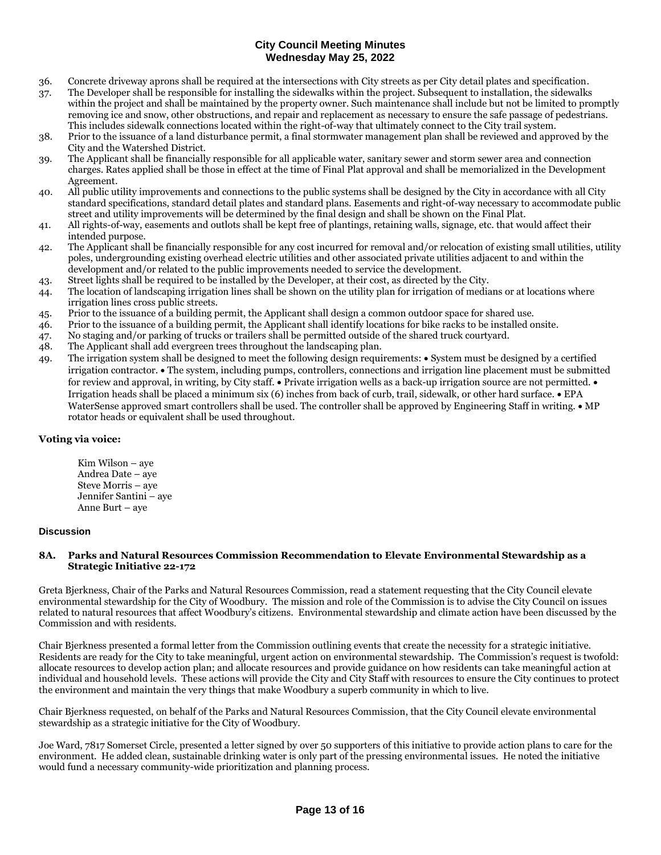- 36. Concrete driveway aprons shall be required at the intersections with City streets as per City detail plates and specification.
- 37. The Developer shall be responsible for installing the sidewalks within the project. Subsequent to installation, the sidewalks within the project and shall be maintained by the property owner. Such maintenance shall include but not be limited to promptly removing ice and snow, other obstructions, and repair and replacement as necessary to ensure the safe passage of pedestrians. This includes sidewalk connections located within the right-of-way that ultimately connect to the City trail system.
- 38. Prior to the issuance of a land disturbance permit, a final stormwater management plan shall be reviewed and approved by the City and the Watershed District.
- 39. The Applicant shall be financially responsible for all applicable water, sanitary sewer and storm sewer area and connection charges. Rates applied shall be those in effect at the time of Final Plat approval and shall be memorialized in the Development Agreement.
- 40. All public utility improvements and connections to the public systems shall be designed by the City in accordance with all City standard specifications, standard detail plates and standard plans. Easements and right-of-way necessary to accommodate public street and utility improvements will be determined by the final design and shall be shown on the Final Plat.
- 41. All rights-of-way, easements and outlots shall be kept free of plantings, retaining walls, signage, etc. that would affect their intended purpose.
- 42. The Applicant shall be financially responsible for any cost incurred for removal and/or relocation of existing small utilities, utility poles, undergrounding existing overhead electric utilities and other associated private utilities adjacent to and within the development and/or related to the public improvements needed to service the development.
- 43. Street lights shall be required to be installed by the Developer, at their cost, as directed by the City.
- 44. The location of landscaping irrigation lines shall be shown on the utility plan for irrigation of medians or at locations where irrigation lines cross public streets.
- 45. Prior to the issuance of a building permit, the Applicant shall design a common outdoor space for shared use.
- 46. Prior to the issuance of a building permit, the Applicant shall identify locations for bike racks to be installed onsite.
- 47. No staging and/or parking of trucks or trailers shall be permitted outside of the shared truck courtyard.
- 48. The Applicant shall add evergreen trees throughout the landscaping plan.
- 49. The irrigation system shall be designed to meet the following design requirements: System must be designed by a certified irrigation contractor. • The system, including pumps, controllers, connections and irrigation line placement must be submitted for review and approval, in writing, by City staff.  $\bullet$  Private irrigation wells as a back-up irrigation source are not permitted.  $\bullet$ Irrigation heads shall be placed a minimum six  $(6)$  inches from back of curb, trail, sidewalk, or other hard surface.  $\bullet$  EPA WaterSense approved smart controllers shall be used. The controller shall be approved by Engineering Staff in writing.  $\bullet$  MP rotator heads or equivalent shall be used throughout.

## **Voting via voice:**

Kim Wilson – aye Andrea Date – aye Steve Morris – aye Jennifer Santini – aye Anne Burt – aye

## **Discussion**

#### **8A. Parks and Natural Resources Commission Recommendation to Elevate Environmental Stewardship as a Strategic Initiative 22-172**

Greta Bjerkness, Chair of the Parks and Natural Resources Commission, read a statement requesting that the City Council elevate environmental stewardship for the City of Woodbury. The mission and role of the Commission is to advise the City Council on issues related to natural resources that affect Woodbury's citizens. Environmental stewardship and climate action have been discussed by the Commission and with residents.

Chair Bjerkness presented a formal letter from the Commission outlining events that create the necessity for a strategic initiative. Residents are ready for the City to take meaningful, urgent action on environmental stewardship. The Commission's request is twofold: allocate resources to develop action plan; and allocate resources and provide guidance on how residents can take meaningful action at individual and household levels. These actions will provide the City and City Staff with resources to ensure the City continues to protect the environment and maintain the very things that make Woodbury a superb community in which to live.

Chair Bjerkness requested, on behalf of the Parks and Natural Resources Commission, that the City Council elevate environmental stewardship as a strategic initiative for the City of Woodbury.

Joe Ward, 7817 Somerset Circle, presented a letter signed by over 50 supporters of this initiative to provide action plans to care for the environment. He added clean, sustainable drinking water is only part of the pressing environmental issues. He noted the initiative would fund a necessary community-wide prioritization and planning process.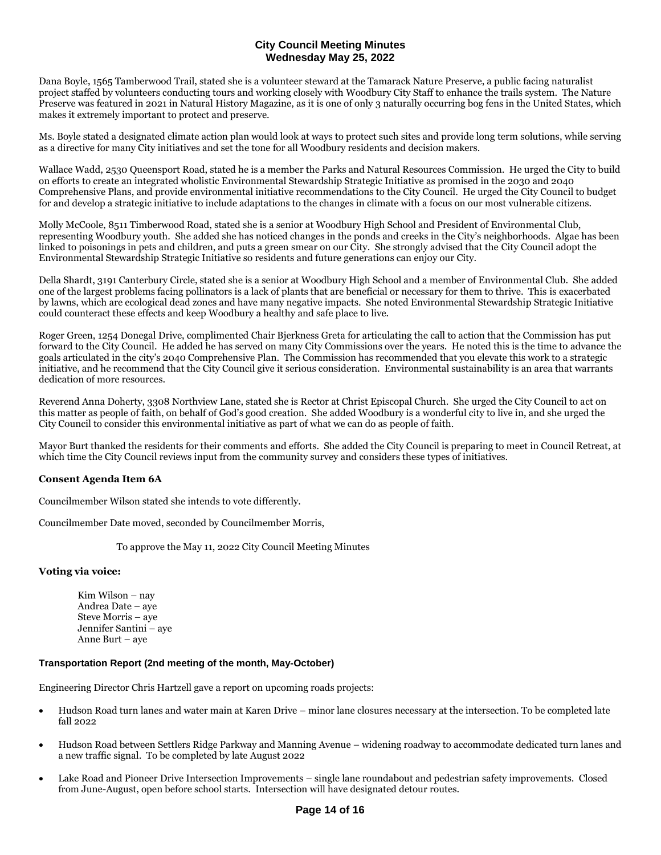Dana Boyle, 1565 Tamberwood Trail, stated she is a volunteer steward at the Tamarack Nature Preserve, a public facing naturalist project staffed by volunteers conducting tours and working closely with Woodbury City Staff to enhance the trails system. The Nature Preserve was featured in 2021 in Natural History Magazine, as it is one of only 3 naturally occurring bog fens in the United States, which makes it extremely important to protect and preserve.

Ms. Boyle stated a designated climate action plan would look at ways to protect such sites and provide long term solutions, while serving as a directive for many City initiatives and set the tone for all Woodbury residents and decision makers.

Wallace Wadd, 2530 Queensport Road, stated he is a member the Parks and Natural Resources Commission. He urged the City to build on efforts to create an integrated wholistic Environmental Stewardship Strategic Initiative as promised in the 2030 and 2040 Comprehensive Plans, and provide environmental initiative recommendations to the City Council. He urged the City Council to budget for and develop a strategic initiative to include adaptations to the changes in climate with a focus on our most vulnerable citizens.

Molly McCoole, 8511 Timberwood Road, stated she is a senior at Woodbury High School and President of Environmental Club, representing Woodbury youth. She added she has noticed changes in the ponds and creeks in the City's neighborhoods. Algae has been linked to poisonings in pets and children, and puts a green smear on our City. She strongly advised that the City Council adopt the Environmental Stewardship Strategic Initiative so residents and future generations can enjoy our City.

Della Shardt, 3191 Canterbury Circle, stated she is a senior at Woodbury High School and a member of Environmental Club. She added one of the largest problems facing pollinators is a lack of plants that are beneficial or necessary for them to thrive. This is exacerbated by lawns, which are ecological dead zones and have many negative impacts. She noted Environmental Stewardship Strategic Initiative could counteract these effects and keep Woodbury a healthy and safe place to live.

Roger Green, 1254 Donegal Drive, complimented Chair Bjerkness Greta for articulating the call to action that the Commission has put forward to the City Council. He added he has served on many City Commissions over the years. He noted this is the time to advance the goals articulated in the city's 2040 Comprehensive Plan. The Commission has recommended that you elevate this work to a strategic initiative, and he recommend that the City Council give it serious consideration. Environmental sustainability is an area that warrants dedication of more resources.

Reverend Anna Doherty, 3308 Northview Lane, stated she is Rector at Christ Episcopal Church. She urged the City Council to act on this matter as people of faith, on behalf of God's good creation. She added Woodbury is a wonderful city to live in, and she urged the City Council to consider this environmental initiative as part of what we can do as people of faith.

Mayor Burt thanked the residents for their comments and efforts. She added the City Council is preparing to meet in Council Retreat, at which time the City Council reviews input from the community survey and considers these types of initiatives.

## **Consent Agenda Item 6A**

Councilmember Wilson stated she intends to vote differently.

Councilmember Date moved, seconded by Councilmember Morris,

To approve the May 11, 2022 City Council Meeting Minutes

## **Voting via voice:**

Kim Wilson – nay Andrea Date – aye Steve Morris – aye Jennifer Santini – aye Anne Burt – aye

## **Transportation Report (2nd meeting of the month, May-October)**

Engineering Director Chris Hartzell gave a report on upcoming roads projects:

- Hudson Road turn lanes and water main at Karen Drive minor lane closures necessary at the intersection. To be completed late fall 2022
- Hudson Road between Settlers Ridge Parkway and Manning Avenue widening roadway to accommodate dedicated turn lanes and a new traffic signal. To be completed by late August 2022
- Lake Road and Pioneer Drive Intersection Improvements single lane roundabout and pedestrian safety improvements. Closed from June-August, open before school starts. Intersection will have designated detour routes.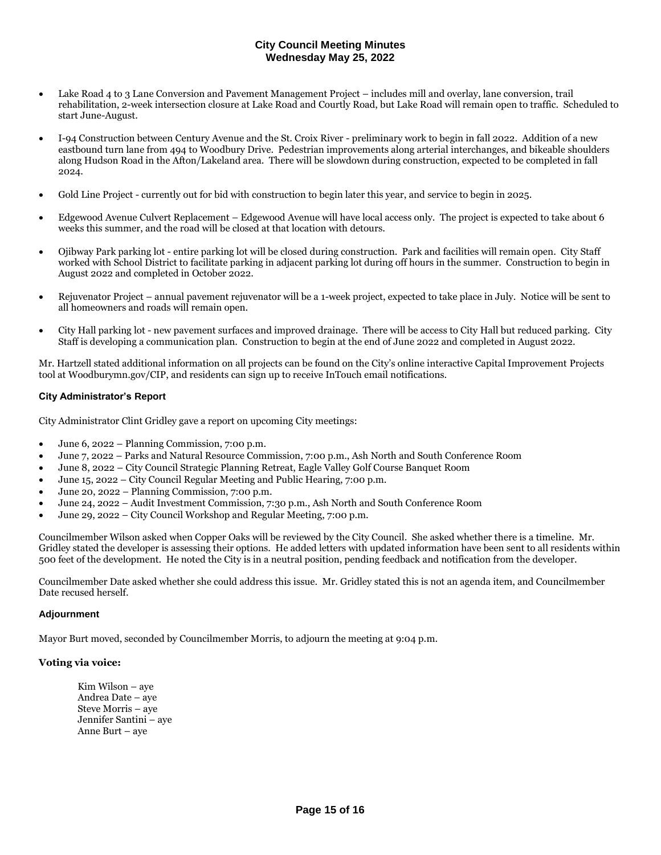- Lake Road 4 to 3 Lane Conversion and Pavement Management Project includes mill and overlay, lane conversion, trail rehabilitation, 2-week intersection closure at Lake Road and Courtly Road, but Lake Road will remain open to traffic. Scheduled to start June-August.
- I-94 Construction between Century Avenue and the St. Croix River preliminary work to begin in fall 2022. Addition of a new eastbound turn lane from 494 to Woodbury Drive. Pedestrian improvements along arterial interchanges, and bikeable shoulders along Hudson Road in the Afton/Lakeland area. There will be slowdown during construction, expected to be completed in fall 2024.
- Gold Line Project currently out for bid with construction to begin later this year, and service to begin in 2025.
- Edgewood Avenue Culvert Replacement Edgewood Avenue will have local access only. The project is expected to take about 6 weeks this summer, and the road will be closed at that location with detours.
- Ojibway Park parking lot entire parking lot will be closed during construction. Park and facilities will remain open. City Staff worked with School District to facilitate parking in adjacent parking lot during off hours in the summer. Construction to begin in August 2022 and completed in October 2022.
- Rejuvenator Project annual pavement rejuvenator will be a 1-week project, expected to take place in July. Notice will be sent to all homeowners and roads will remain open.
- City Hall parking lot new pavement surfaces and improved drainage. There will be access to City Hall but reduced parking. City Staff is developing a communication plan. Construction to begin at the end of June 2022 and completed in August 2022.

Mr. Hartzell stated additional information on all projects can be found on the City's online interactive Capital Improvement Projects tool at Woodburymn.gov/CIP, and residents can sign up to receive InTouch email notifications.

## **City Administrator's Report**

City Administrator Clint Gridley gave a report on upcoming City meetings:

- June 6, 2022 Planning Commission, 7:00 p.m.
- June 7, 2022 Parks and Natural Resource Commission, 7:00 p.m., Ash North and South Conference Room
- June 8, 2022 City Council Strategic Planning Retreat, Eagle Valley Golf Course Banquet Room
- June 15, 2022 City Council Regular Meeting and Public Hearing, 7:00 p.m.
- June 20, 2022 Planning Commission, 7:00 p.m.
- June 24, 2022 Audit Investment Commission, 7:30 p.m., Ash North and South Conference Room
- June 29, 2022 City Council Workshop and Regular Meeting, 7:00 p.m.

Councilmember Wilson asked when Copper Oaks will be reviewed by the City Council. She asked whether there is a timeline. Mr. Gridley stated the developer is assessing their options. He added letters with updated information have been sent to all residents within 500 feet of the development. He noted the City is in a neutral position, pending feedback and notification from the developer.

Councilmember Date asked whether she could address this issue. Mr. Gridley stated this is not an agenda item, and Councilmember Date recused herself.

#### **Adjournment**

Mayor Burt moved, seconded by Councilmember Morris, to adjourn the meeting at 9:04 p.m.

## **Voting via voice:**

Kim Wilson – aye Andrea Date – aye Steve Morris – aye Jennifer Santini – aye Anne Burt – aye